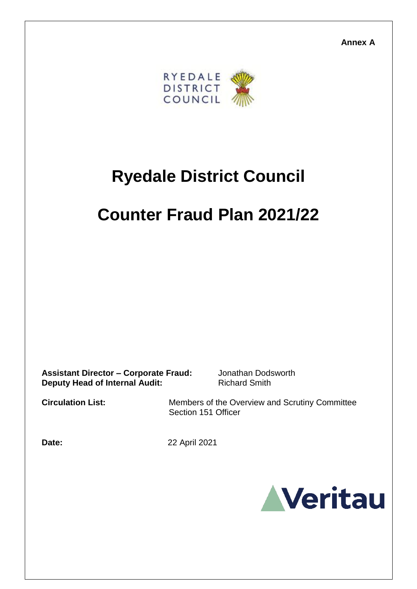**Annex A**



# **Ryedale District Council**

## **Counter Fraud Plan 2021/22**

**Assistant Director – Corporate Fraud:** Jonathan Dodsworth **Deputy Head of Internal Audit:** Richard Smith

**Circulation List:** Members of the Overview and Scrutiny Committee Section 151 Officer

**Date:** 22 April 2021

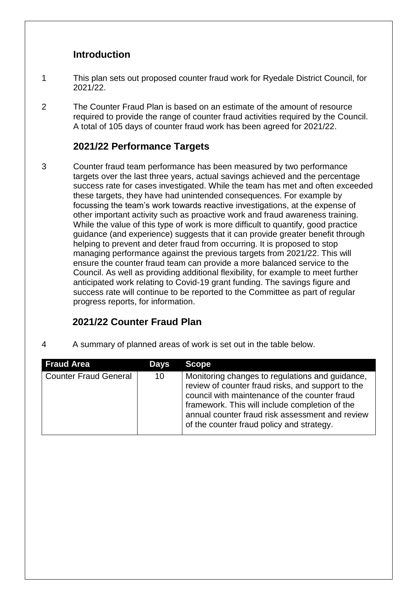#### **Introduction**

- 1 This plan sets out proposed counter fraud work for Ryedale District Council, for 2021/22.
- 2 The Counter Fraud Plan is based on an estimate of the amount of resource required to provide the range of counter fraud activities required by the Council. A total of 105 days of counter fraud work has been agreed for 2021/22.

#### **2021/22 Performance Targets**

3 Counter fraud team performance has been measured by two performance targets over the last three years, actual savings achieved and the percentage success rate for cases investigated. While the team has met and often exceeded these targets, they have had unintended consequences. For example by focussing the team's work towards reactive investigations, at the expense of other important activity such as proactive work and fraud awareness training. While the value of this type of work is more difficult to quantify, good practice guidance (and experience) suggests that it can provide greater benefit through helping to prevent and deter fraud from occurring. It is proposed to stop managing performance against the previous targets from 2021/22. This will ensure the counter fraud team can provide a more balanced service to the Council. As well as providing additional flexibility, for example to meet further anticipated work relating to Covid-19 grant funding. The savings figure and success rate will continue to be reported to the Committee as part of regular progress reports, for information.

### **2021/22 Counter Fraud Plan**

4 A summary of planned areas of work is set out in the table below.

| <b>Fraud Area</b>            | <b>Days</b> | <b>Scope</b>                                                                                                                                                                                                                                                                                            |
|------------------------------|-------------|---------------------------------------------------------------------------------------------------------------------------------------------------------------------------------------------------------------------------------------------------------------------------------------------------------|
| <b>Counter Fraud General</b> | 10          | Monitoring changes to regulations and guidance,<br>review of counter fraud risks, and support to the<br>council with maintenance of the counter fraud<br>framework. This will include completion of the<br>annual counter fraud risk assessment and review<br>of the counter fraud policy and strategy. |